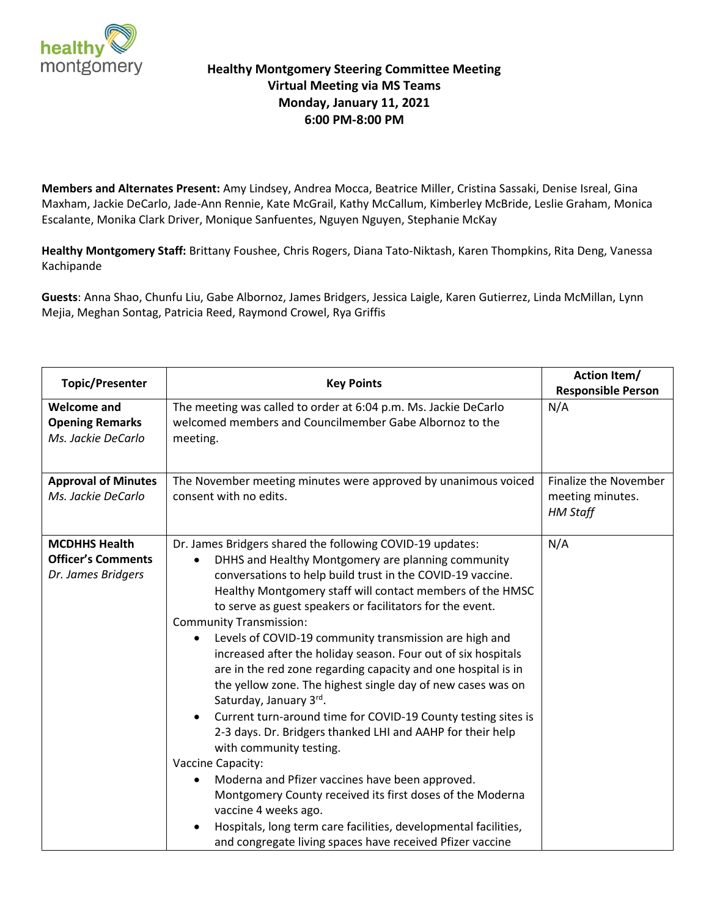

## **Healthy Montgomery Steering Committee Meeting Virtual Meeting via MS Teams Monday, January 11, 2021 6:00 PM-8:00 PM**

**Members and Alternates Present:** Amy Lindsey, Andrea Mocca, Beatrice Miller, Cristina Sassaki, Denise Isreal, Gina Maxham, Jackie DeCarlo, Jade-Ann Rennie, Kate McGrail, Kathy McCallum, Kimberley McBride, Leslie Graham, Monica Escalante, Monika Clark Driver, Monique Sanfuentes, Nguyen Nguyen, Stephanie McKay

**Healthy Montgomery Staff:** Brittany Foushee, Chris Rogers, Diana Tato-Niktash, Karen Thompkins, Rita Deng, Vanessa Kachipande

**Guests**: Anna Shao, Chunfu Liu, Gabe Albornoz, James Bridgers, Jessica Laigle, Karen Gutierrez, Linda McMillan, Lynn Mejia, Meghan Sontag, Patricia Reed, Raymond Crowel, Rya Griffis

| <b>Topic/Presenter</b>                                                  | <b>Key Points</b>                                                                                                                                                                                                                                                                                                                                                                                                                                                                                                                                                                                                                                                                                                                                                                                                                                                                                                                                                                                                                                                                                                            | <b>Action Item/</b><br><b>Responsible Person</b>                    |
|-------------------------------------------------------------------------|------------------------------------------------------------------------------------------------------------------------------------------------------------------------------------------------------------------------------------------------------------------------------------------------------------------------------------------------------------------------------------------------------------------------------------------------------------------------------------------------------------------------------------------------------------------------------------------------------------------------------------------------------------------------------------------------------------------------------------------------------------------------------------------------------------------------------------------------------------------------------------------------------------------------------------------------------------------------------------------------------------------------------------------------------------------------------------------------------------------------------|---------------------------------------------------------------------|
| <b>Welcome and</b><br><b>Opening Remarks</b><br>Ms. Jackie DeCarlo      | The meeting was called to order at 6:04 p.m. Ms. Jackie DeCarlo<br>welcomed members and Councilmember Gabe Albornoz to the<br>meeting.                                                                                                                                                                                                                                                                                                                                                                                                                                                                                                                                                                                                                                                                                                                                                                                                                                                                                                                                                                                       | N/A                                                                 |
| <b>Approval of Minutes</b><br>Ms. Jackie DeCarlo                        | The November meeting minutes were approved by unanimous voiced<br>consent with no edits.                                                                                                                                                                                                                                                                                                                                                                                                                                                                                                                                                                                                                                                                                                                                                                                                                                                                                                                                                                                                                                     | <b>Finalize the November</b><br>meeting minutes.<br><b>HM Staff</b> |
| <b>MCDHHS Health</b><br><b>Officer's Comments</b><br>Dr. James Bridgers | Dr. James Bridgers shared the following COVID-19 updates:<br>DHHS and Healthy Montgomery are planning community<br>$\bullet$<br>conversations to help build trust in the COVID-19 vaccine.<br>Healthy Montgomery staff will contact members of the HMSC<br>to serve as guest speakers or facilitators for the event.<br><b>Community Transmission:</b><br>Levels of COVID-19 community transmission are high and<br>$\bullet$<br>increased after the holiday season. Four out of six hospitals<br>are in the red zone regarding capacity and one hospital is in<br>the yellow zone. The highest single day of new cases was on<br>Saturday, January 3rd.<br>Current turn-around time for COVID-19 County testing sites is<br>2-3 days. Dr. Bridgers thanked LHI and AAHP for their help<br>with community testing.<br>Vaccine Capacity:<br>Moderna and Pfizer vaccines have been approved.<br>$\bullet$<br>Montgomery County received its first doses of the Moderna<br>vaccine 4 weeks ago.<br>Hospitals, long term care facilities, developmental facilities,<br>and congregate living spaces have received Pfizer vaccine | N/A                                                                 |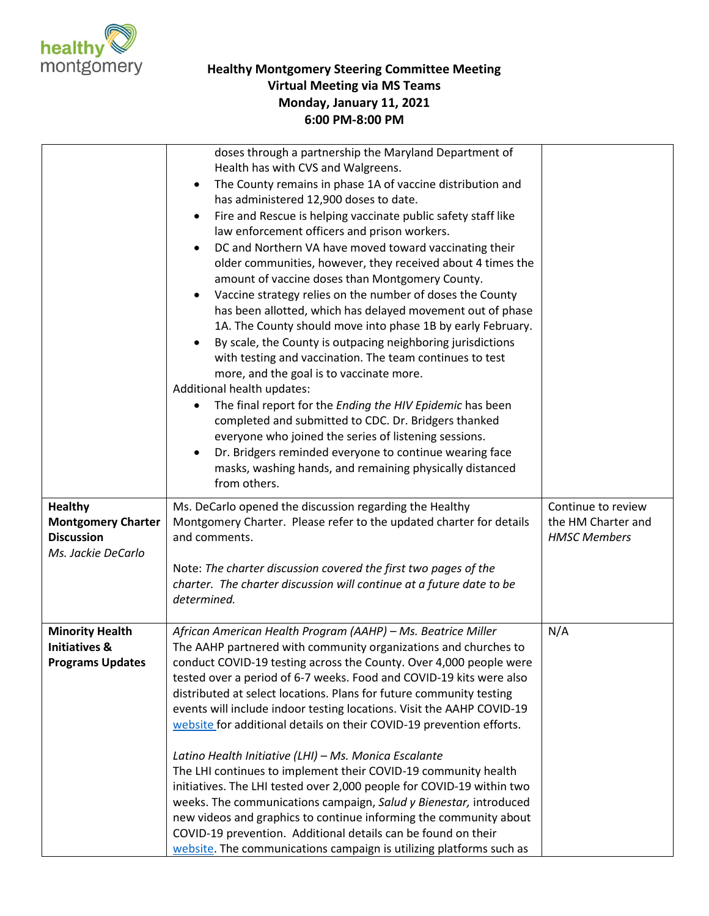

## **Healthy Montgomery Steering Committee Meeting Virtual Meeting via MS Teams Monday, January 11, 2021 6:00 PM-8:00 PM**

|                                                    | doses through a partnership the Maryland Department of<br>Health has with CVS and Walgreens.<br>The County remains in phase 1A of vaccine distribution and<br>$\bullet$<br>has administered 12,900 doses to date.<br>Fire and Rescue is helping vaccinate public safety staff like<br>$\bullet$<br>law enforcement officers and prison workers.<br>DC and Northern VA have moved toward vaccinating their<br>older communities, however, they received about 4 times the<br>amount of vaccine doses than Montgomery County.<br>Vaccine strategy relies on the number of doses the County<br>$\bullet$<br>has been allotted, which has delayed movement out of phase<br>1A. The County should move into phase 1B by early February.<br>By scale, the County is outpacing neighboring jurisdictions<br>$\bullet$<br>with testing and vaccination. The team continues to test<br>more, and the goal is to vaccinate more.<br>Additional health updates:<br>The final report for the Ending the HIV Epidemic has been<br>$\bullet$<br>completed and submitted to CDC. Dr. Bridgers thanked<br>everyone who joined the series of listening sessions.<br>Dr. Bridgers reminded everyone to continue wearing face<br>$\bullet$<br>masks, washing hands, and remaining physically distanced<br>from others. |                                          |
|----------------------------------------------------|-----------------------------------------------------------------------------------------------------------------------------------------------------------------------------------------------------------------------------------------------------------------------------------------------------------------------------------------------------------------------------------------------------------------------------------------------------------------------------------------------------------------------------------------------------------------------------------------------------------------------------------------------------------------------------------------------------------------------------------------------------------------------------------------------------------------------------------------------------------------------------------------------------------------------------------------------------------------------------------------------------------------------------------------------------------------------------------------------------------------------------------------------------------------------------------------------------------------------------------------------------------------------------------------------------|------------------------------------------|
| <b>Healthy</b><br><b>Montgomery Charter</b>        | Ms. DeCarlo opened the discussion regarding the Healthy<br>Montgomery Charter. Please refer to the updated charter for details                                                                                                                                                                                                                                                                                                                                                                                                                                                                                                                                                                                                                                                                                                                                                                                                                                                                                                                                                                                                                                                                                                                                                                      | Continue to review<br>the HM Charter and |
| <b>Discussion</b>                                  | and comments.                                                                                                                                                                                                                                                                                                                                                                                                                                                                                                                                                                                                                                                                                                                                                                                                                                                                                                                                                                                                                                                                                                                                                                                                                                                                                       | <b>HMSC Members</b>                      |
| Ms. Jackie DeCarlo                                 | Note: The charter discussion covered the first two pages of the<br>charter. The charter discussion will continue at a future date to be<br>determined.                                                                                                                                                                                                                                                                                                                                                                                                                                                                                                                                                                                                                                                                                                                                                                                                                                                                                                                                                                                                                                                                                                                                              |                                          |
| <b>Minority Health</b><br><b>Initiatives &amp;</b> | African American Health Program (AAHP) - Ms. Beatrice Miller<br>The AAHP partnered with community organizations and churches to                                                                                                                                                                                                                                                                                                                                                                                                                                                                                                                                                                                                                                                                                                                                                                                                                                                                                                                                                                                                                                                                                                                                                                     | N/A                                      |
| <b>Programs Updates</b>                            | conduct COVID-19 testing across the County. Over 4,000 people were                                                                                                                                                                                                                                                                                                                                                                                                                                                                                                                                                                                                                                                                                                                                                                                                                                                                                                                                                                                                                                                                                                                                                                                                                                  |                                          |
|                                                    | tested over a period of 6-7 weeks. Food and COVID-19 kits were also<br>distributed at select locations. Plans for future community testing                                                                                                                                                                                                                                                                                                                                                                                                                                                                                                                                                                                                                                                                                                                                                                                                                                                                                                                                                                                                                                                                                                                                                          |                                          |
|                                                    | events will include indoor testing locations. Visit the AAHP COVID-19                                                                                                                                                                                                                                                                                                                                                                                                                                                                                                                                                                                                                                                                                                                                                                                                                                                                                                                                                                                                                                                                                                                                                                                                                               |                                          |
|                                                    | website for additional details on their COVID-19 prevention efforts.                                                                                                                                                                                                                                                                                                                                                                                                                                                                                                                                                                                                                                                                                                                                                                                                                                                                                                                                                                                                                                                                                                                                                                                                                                |                                          |
|                                                    | Latino Health Initiative (LHI) - Ms. Monica Escalante<br>The LHI continues to implement their COVID-19 community health                                                                                                                                                                                                                                                                                                                                                                                                                                                                                                                                                                                                                                                                                                                                                                                                                                                                                                                                                                                                                                                                                                                                                                             |                                          |
|                                                    | initiatives. The LHI tested over 2,000 people for COVID-19 within two                                                                                                                                                                                                                                                                                                                                                                                                                                                                                                                                                                                                                                                                                                                                                                                                                                                                                                                                                                                                                                                                                                                                                                                                                               |                                          |
|                                                    | weeks. The communications campaign, Salud y Bienestar, introduced                                                                                                                                                                                                                                                                                                                                                                                                                                                                                                                                                                                                                                                                                                                                                                                                                                                                                                                                                                                                                                                                                                                                                                                                                                   |                                          |
|                                                    | new videos and graphics to continue informing the community about<br>COVID-19 prevention. Additional details can be found on their                                                                                                                                                                                                                                                                                                                                                                                                                                                                                                                                                                                                                                                                                                                                                                                                                                                                                                                                                                                                                                                                                                                                                                  |                                          |
|                                                    | website. The communications campaign is utilizing platforms such as                                                                                                                                                                                                                                                                                                                                                                                                                                                                                                                                                                                                                                                                                                                                                                                                                                                                                                                                                                                                                                                                                                                                                                                                                                 |                                          |